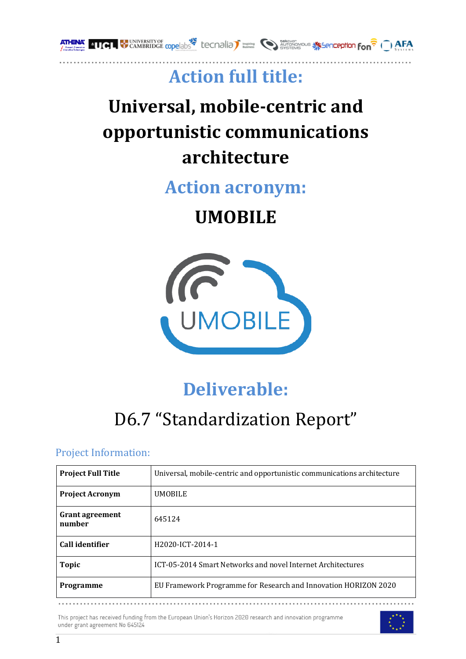

# **Action full title:**

# **Universal, mobile-centric and opportunistic communications architecture**

**Action acronym:**

**UMOBILE**



# **Deliverable:**

# D6.7 "Standardization Report"

# Project Information:

| <b>Project Full Title</b>        | Universal, mobile-centric and opportunistic communications architecture |
|----------------------------------|-------------------------------------------------------------------------|
| <b>Project Acronym</b>           | <b>UMOBILE</b>                                                          |
| <b>Grant agreement</b><br>number | 645124                                                                  |
| Call identifier                  | H2020-ICT-2014-1                                                        |
| <b>Topic</b>                     | ICT-05-2014 Smart Networks and novel Internet Architectures             |
| <b>Programme</b>                 | EU Framework Programme for Research and Innovation HORIZON 2020         |

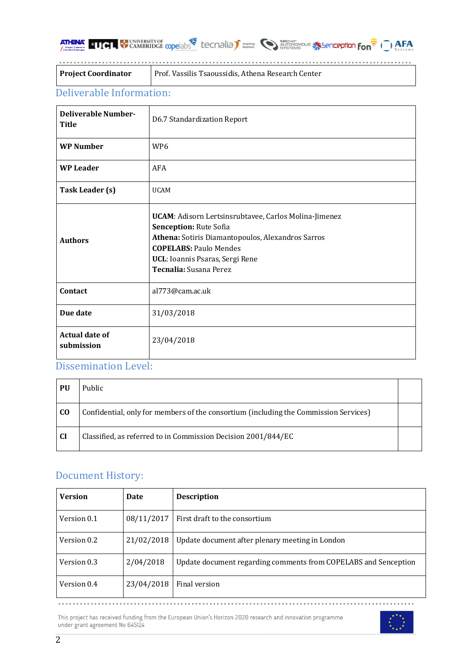| <b>ATHENA ELLOL CAMBRIDGE COPE ADS<sup>25</sup></b> Lecnalia |  |  |  |  |  |  |
|--------------------------------------------------------------|--|--|--|--|--|--|
|--------------------------------------------------------------|--|--|--|--|--|--|

|  | <b>Inspired CO AUTONOMOUS SECREPTION FON<sup>2</sup> ( ) AFA</b> |  |
|--|------------------------------------------------------------------|--|
|  |                                                                  |  |

**Project Coordinator** | Prof. Vassilis Tsaoussidis, Athena Research Center

# Deliverable Information:

| <b>Deliverable Number-</b><br><b>Title</b> | D6.7 Standardization Report                                                                                                                                                                                                        |
|--------------------------------------------|------------------------------------------------------------------------------------------------------------------------------------------------------------------------------------------------------------------------------------|
| <b>WP Number</b>                           | WP <sub>6</sub>                                                                                                                                                                                                                    |
| <b>WP Leader</b>                           | AFA                                                                                                                                                                                                                                |
| Task Leader (s)                            | <b>UCAM</b>                                                                                                                                                                                                                        |
| <b>Authors</b>                             | UCAM: Adisorn Lertsinsrubtavee, Carlos Molina-Jimenez<br>Senception: Rute Sofia<br>Athena: Sotiris Diamantopoulos, Alexandros Sarros<br><b>COPELABS: Paulo Mendes</b><br>UCL: Ioannis Psaras, Sergi Rene<br>Tecnalia: Susana Perez |
| Contact                                    | al773@cam.ac.uk                                                                                                                                                                                                                    |
| Due date                                   | 31/03/2018                                                                                                                                                                                                                         |
| <b>Actual date of</b><br>submission        | 23/04/2018                                                                                                                                                                                                                         |

# Dissemination Level:

| PU        | Public                                                                               |  |
|-----------|--------------------------------------------------------------------------------------|--|
| <b>CO</b> | Confidential, only for members of the consortium (including the Commission Services) |  |
| <b>CI</b> | Classified, as referred to in Commission Decision 2001/844/EC                        |  |

# Document History:

| <b>Version</b> | Date       | <b>Description</b>                                              |
|----------------|------------|-----------------------------------------------------------------|
| Version 0.1    | 08/11/2017 | First draft to the consortium                                   |
| Version 0.2    | 21/02/2018 | Update document after plenary meeting in London                 |
| Version 0.3    | 2/04/2018  | Update document regarding comments from COPELABS and Senception |
| Version 0.4    | 23/04/2018 | Final version                                                   |

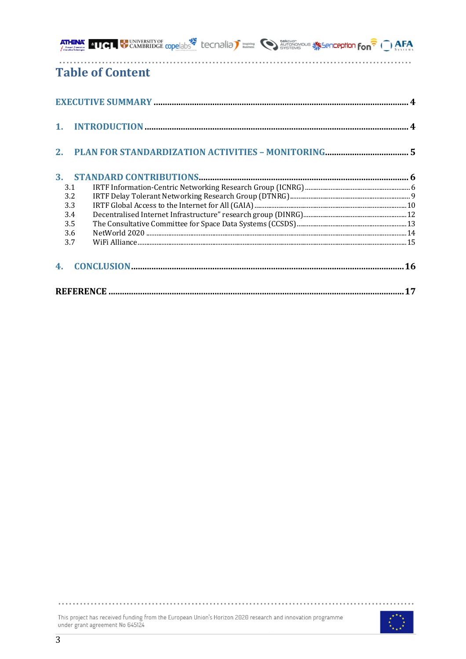|                | <b>ATHENA' 11GH</b> WINNERSTIYOF <b>copelable</b> tecnalia <sup>T</sup> busines and developed a second <b>fon<sup>2</sup> (2) AFA</b> |  |
|----------------|---------------------------------------------------------------------------------------------------------------------------------------|--|
|                | <b>Table of Content</b>                                                                                                               |  |
|                |                                                                                                                                       |  |
|                |                                                                                                                                       |  |
|                |                                                                                                                                       |  |
| 3 <sub>1</sub> |                                                                                                                                       |  |
| 3.1            |                                                                                                                                       |  |
| 3.2            |                                                                                                                                       |  |
| 3.3            |                                                                                                                                       |  |
| 3.4            |                                                                                                                                       |  |
| 3.5            |                                                                                                                                       |  |
| 3.6            |                                                                                                                                       |  |
| 3.7            |                                                                                                                                       |  |
| 4.             |                                                                                                                                       |  |
|                |                                                                                                                                       |  |

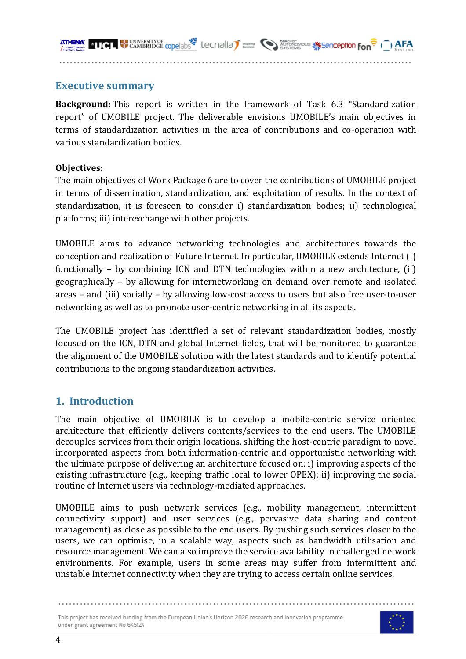

# **Executive summary**

**Background:** This report is written in the framework of Task 6.3 "Standardization report" of UMOBILE project. The deliverable envisions UMOBILE's main objectives in terms of standardization activities in the area of contributions and co-operation with various standardization bodies.

#### **Objectives:**

The main objectives of Work Package 6 are to cover the contributions of UMOBILE project in terms of dissemination, standardization, and exploitation of results. In the context of standardization, it is foreseen to consider i) standardization bodies; ii) technological platforms; iii) interexchange with other projects.

UMOBILE aims to advance networking technologies and architectures towards the conception and realization of Future Internet. In particular, UMOBILE extends Internet (i) functionally  $-$  by combining ICN and DTN technologies within a new architecture, (ii) geographically – by allowing for internetworking on demand over remote and isolated areas – and (iii) socially – by allowing low-cost access to users but also free user-to-user networking as well as to promote user-centric networking in all its aspects.

The UMOBILE project has identified a set of relevant standardization bodies, mostly focused on the ICN, DTN and global Internet fields, that will be monitored to guarantee the alignment of the UMOBILE solution with the latest standards and to identify potential contributions to the ongoing standardization activities.

# **1. Introduction**

The main objective of UMOBILE is to develop a mobile-centric service oriented architecture that efficiently delivers contents/services to the end users. The UMOBILE decouples services from their origin locations, shifting the host-centric paradigm to novel incorporated aspects from both information-centric and opportunistic networking with the ultimate purpose of delivering an architecture focused on: i) improving aspects of the existing infrastructure  $(e.g., keeping traffic local to lower OPEX);$  ii) improving the social routine of Internet users via technology-mediated approaches.

UMOBILE aims to push network services (e.g., mobility management, intermittent connectivity support) and user services (e.g., pervasive data sharing and content management) as close as possible to the end users. By pushing such services closer to the users, we can optimise, in a scalable way, aspects such as bandwidth utilisation and resource management. We can also improve the service availability in challenged network environments. For example, users in some areas may suffer from intermittent and unstable Internet connectivity when they are trying to access certain online services.

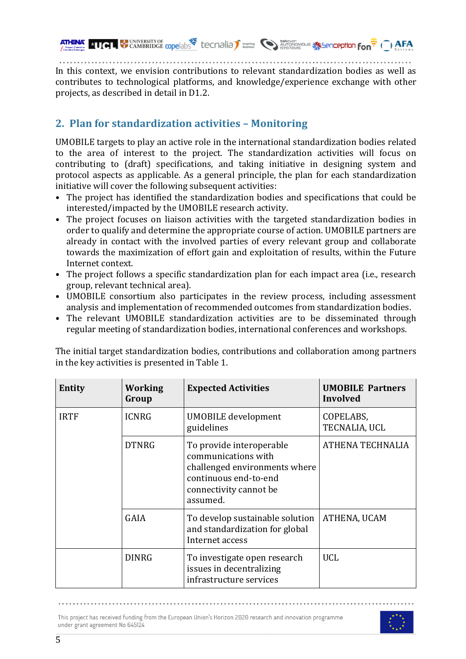**THE CAMBRIDGE copelabs Lecondia) Example 10 CAMBRIDGE copelabs** Lecondia **Company Company Condition Condition**  $\overline{F}$  ( ) AFA

In this context, we envision contributions to relevant standardization bodies as well as contributes to technological platforms, and knowledge/experience exchange with other projects, as described in detail in D1.2.

# **2.** Plan for standardization activities - Monitoring

UMOBILE targets to play an active role in the international standardization bodies related to the area of interest to the project. The standardization activities will focus on contributing to (draft) specifications, and taking initiative in designing system and protocol aspects as applicable. As a general principle, the plan for each standardization initiative will cover the following subsequent activities:

- The project has identified the standardization bodies and specifications that could be interested/impacted by the UMOBILE research activity.
- The project focuses on liaison activities with the targeted standardization bodies in order to qualify and determine the appropriate course of action. UMOBILE partners are already in contact with the involved parties of every relevant group and collaborate towards the maximization of effort gain and exploitation of results, within the Future Internet context.
- The project follows a specific standardization plan for each impact area (i.e., research group, relevant technical area).
- UMOBILE consortium also participates in the review process, including assessment analysis and implementation of recommended outcomes from standardization bodies.
- The relevant UMOBILE standardization activities are to be disseminated through regular meeting of standardization bodies, international conferences and workshops.

The initial target standardization bodies, contributions and collaboration among partners in the key activities is presented in Table 1.

| <b>Entity</b> | <b>Working</b><br>Group | <b>Expected Activities</b>                                                                                                                      | <b>UMOBILE Partners</b><br>Involved |
|---------------|-------------------------|-------------------------------------------------------------------------------------------------------------------------------------------------|-------------------------------------|
| <b>IRTF</b>   | <b>ICNRG</b>            | <b>UMOBILE</b> development<br>guidelines                                                                                                        | COPELABS,<br>TECNALIA, UCL          |
|               | <b>DTNRG</b>            | To provide interoperable<br>communications with<br>challenged environments where<br>continuous end-to-end<br>connectivity cannot be<br>assumed. | ATHENA TECHNALIA                    |
|               | <b>GAIA</b>             | To develop sustainable solution<br>and standardization for global<br>Internet access                                                            | ATHENA, UCAM                        |
|               | <b>DINRG</b>            | To investigate open research<br>issues in decentralizing<br>infrastructure services                                                             | <b>UCL</b>                          |

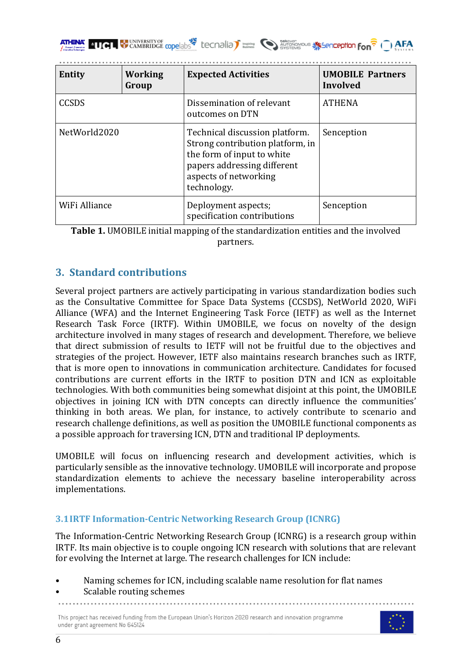| <b>Entity</b> | <b>Working</b><br>Group | <b>Expected Activities</b>                                                                                                                                              | <b>UMOBILE Partners</b><br>Involved |
|---------------|-------------------------|-------------------------------------------------------------------------------------------------------------------------------------------------------------------------|-------------------------------------|
| <b>CCSDS</b>  |                         | Dissemination of relevant<br>outcomes on DTN                                                                                                                            | <b>ATHENA</b>                       |
| NetWorld2020  |                         | Technical discussion platform.<br>Strong contribution platform, in<br>the form of input to white<br>papers addressing different<br>aspects of networking<br>technology. | Senception                          |
| WiFi Alliance |                         | Deployment aspects;<br>specification contributions                                                                                                                      | Senception                          |

**Table 1.** UMOBILE initial mapping of the standardization entities and the involved partners.

# **3. Standard contributions**

Several project partners are actively participating in various standardization bodies such as the Consultative Committee for Space Data Systems (CCSDS), NetWorld 2020, WiFi Alliance (WFA) and the Internet Engineering Task Force (IETF) as well as the Internet Research Task Force (IRTF). Within UMOBILE, we focus on novelty of the design architecture involved in many stages of research and development. Therefore, we believe that direct submission of results to IETF will not be fruitful due to the objectives and strategies of the project. However, IETF also maintains research branches such as IRTF, that is more open to innovations in communication architecture. Candidates for focused contributions are current efforts in the IRTF to position DTN and ICN as exploitable technologies. With both communities being somewhat disjoint at this point, the UMOBILE objectives in joining ICN with DTN concepts can directly influence the communities' thinking in both areas. We plan, for instance, to actively contribute to scenario and research challenge definitions, as well as position the UMOBILE functional components as a possible approach for traversing ICN, DTN and traditional IP deployments.

UMOBILE will focus on influencing research and development activities, which is particularly sensible as the innovative technology. UMOBILE will incorporate and propose standardization elements to achieve the necessary baseline interoperability across implementations.

### **3.1IRTF Information-Centric Networking Research Group (ICNRG)**

The Information-Centric Networking Research Group (ICNRG) is a research group within IRTF. Its main objective is to couple ongoing ICN research with solutions that are relevant for evolving the Internet at large. The research challenges for ICN include:

- Naming schemes for ICN, including scalable name resolution for flat names
- Scalable routing schemes

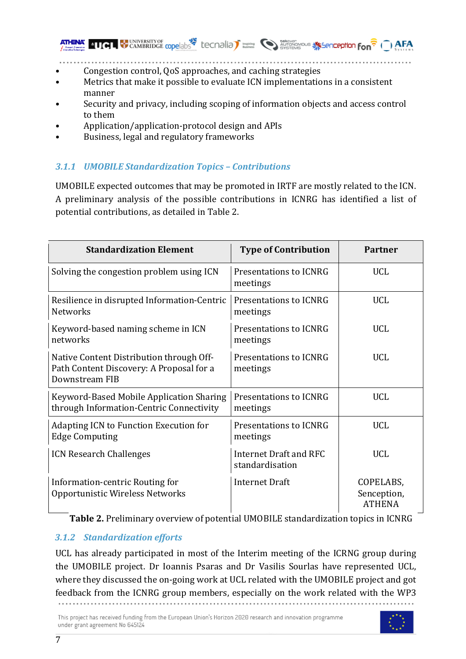Congestion control, QoS approaches, and caching strategies

- Metrics that make it possible to evaluate ICN implementations in a consistent manner
- Security and privacy, including scoping of information objects and access control to them

**THE LANDRIDGE COpe abstract LAG CONDIAL DISTINGUISH SEPTENDEN CONDITION FOR THE CONDITION OF THE AFA** 

- Application/application-protocol design and APIs
- Business, legal and regulatory frameworks

# *3.1.1 UMOBILE Standardization Topics – Contributions*

UMOBILE expected outcomes that may be promoted in IRTF are mostly related to the ICN. A preliminary analysis of the possible contributions in ICNRG has identified a list of potential contributions, as detailed in Table 2.

| <b>Standardization Element</b>                                                                         | <b>Type of Contribution</b>               | <b>Partner</b>                            |
|--------------------------------------------------------------------------------------------------------|-------------------------------------------|-------------------------------------------|
| Solving the congestion problem using ICN                                                               | Presentations to ICNRG<br>meetings        | <b>UCL</b>                                |
| Resilience in disrupted Information-Centric<br><b>Networks</b>                                         | Presentations to ICNRG<br>meetings        | <b>UCL</b>                                |
| Keyword-based naming scheme in ICN<br>networks                                                         | Presentations to ICNRG<br>meetings        | <b>UCL</b>                                |
| Native Content Distribution through Off-<br>Path Content Discovery: A Proposal for a<br>Downstream FIB | Presentations to ICNRG<br>meetings        | <b>UCL</b>                                |
| Keyword-Based Mobile Application Sharing<br>through Information-Centric Connectivity                   | Presentations to ICNRG<br>meetings        | UCL                                       |
| <b>Adapting ICN to Function Execution for</b><br><b>Edge Computing</b>                                 | Presentations to ICNRG<br>meetings        | <b>UCL</b>                                |
| <b>ICN Research Challenges</b>                                                                         | Internet Draft and RFC<br>standardisation | <b>UCL</b>                                |
| Information-centric Routing for<br>Opportunistic Wireless Networks                                     | Internet Draft                            | COPELABS,<br>Senception,<br><b>ATHENA</b> |

**Table 2.** Preliminary overview of potential UMOBILE standardization topics in ICNRG

# *3.1.2 Standardization efforts*

UCL has already participated in most of the Interim meeting of the ICRNG group during the UMOBILE project. Dr Ioannis Psaras and Dr Vasilis Sourlas have represented UCL, where they discussed the on-going work at UCL related with the UMOBILE project and got feedback from the ICNRG group members, especially on the work related with the WP3

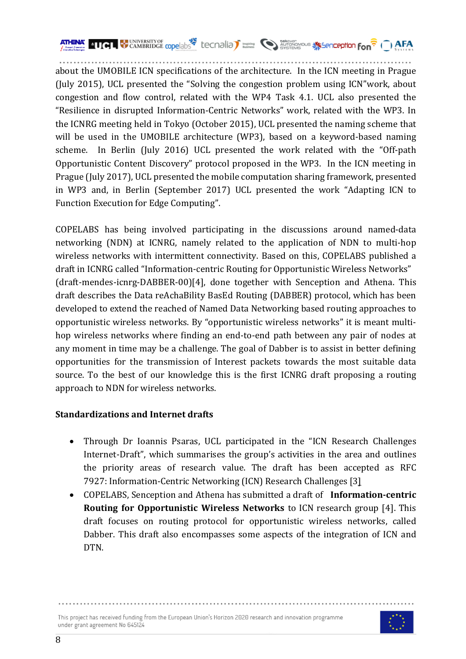

about the UMOBILE ICN specifications of the architecture. In the ICN meeting in Prague (July 2015), UCL presented the "Solving the congestion problem using ICN"work, about congestion and flow control, related with the WP4 Task 4.1. UCL also presented the "Resilience in disrupted Information-Centric Networks" work, related with the WP3. In the ICNRG meeting held in Tokyo (October 2015), UCL presented the naming scheme that will be used in the UMOBILE architecture (WP3), based on a keyword-based naming scheme. In Berlin (July 2016) UCL presented the work related with the "Off-path Opportunistic Content Discovery" protocol proposed in the WP3. In the ICN meeting in Prague (July 2017), UCL presented the mobile computation sharing framework, presented in WP3 and, in Berlin (September 2017) UCL presented the work "Adapting ICN to Function Execution for Edge Computing".

COPELABS has being involved participating in the discussions around named-data networking (NDN) at ICNRG, namely related to the application of NDN to multi-hop wireless networks with intermittent connectivity. Based on this, COPELABS published a draft in ICNRG called "Information-centric Routing for Opportunistic Wireless Networks" (draft-mendes-icnrg-DABBER-00)[4], done together with Senception and Athena. This draft describes the Data reAchaBility BasEd Routing (DABBER) protocol, which has been developed to extend the reached of Named Data Networking based routing approaches to opportunistic wireless networks. By "opportunistic wireless networks" it is meant multihop wireless networks where finding an end-to-end path between any pair of nodes at any moment in time may be a challenge. The goal of Dabber is to assist in better defining opportunities for the transmission of Interest packets towards the most suitable data source. To the best of our knowledge this is the first ICNRG draft proposing a routing approach to NDN for wireless networks.

### **Standardizations and Internet drafts**

- Through Dr Ioannis Psaras, UCL participated in the "ICN Research Challenges Internet-Draft", which summarises the group's activities in the area and outlines the priority areas of research value. The draft has been accepted as RFC 7927: Information-Centric Networking (ICN) Research Challenges [3]
- COPELABS, Senception and Athena has submitted a draft of **Information-centric Routing for Opportunistic Wireless Networks** to ICN research group [4]. This draft focuses on routing protocol for opportunistic wireless networks, called Dabber. This draft also encompasses some aspects of the integration of ICN and DTN.

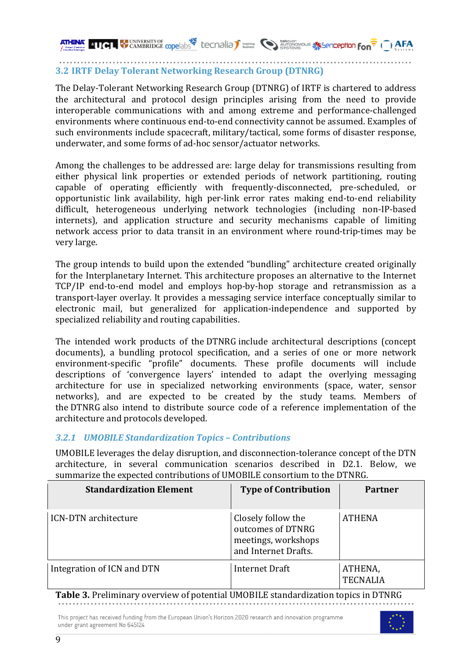**4161 WE UNIVERSITY OF CODE COPE ADDENTIFY CONCIDENT ASSOCIATED STATES AREA** 

### **3.2 IRTF Delay Tolerant Networking Research Group (DTNRG)**

The Delay-Tolerant Networking Research Group (DTNRG) of IRTF is chartered to address the architectural and protocol design principles arising from the need to provide interoperable communications with and among extreme and performance-challenged environments where continuous end-to-end connectivity cannot be assumed. Examples of such environments include spacecraft, military/tactical, some forms of disaster response, underwater, and some forms of ad-hoc sensor/actuator networks.

Among the challenges to be addressed are: large delay for transmissions resulting from either physical link properties or extended periods of network partitioning, routing capable of operating efficiently with frequently-disconnected, pre-scheduled, or opportunistic link availability, high per-link error rates making end-to-end reliability difficult, heterogeneous underlying network technologies (including non-IP-based internets), and application structure and security mechanisms capable of limiting network access prior to data transit in an environment where round-trip-times may be very large.

The group intends to build upon the extended "bundling" architecture created originally for the Interplanetary Internet. This architecture proposes an alternative to the Internet TCP/IP end-to-end model and employs hop-by-hop storage and retransmission as a transport-layer overlay. It provides a messaging service interface conceptually similar to electronic mail, but generalized for application-independence and supported by specialized reliability and routing capabilities.

The intended work products of the DTNRG include architectural descriptions (concept documents), a bundling protocol specification, and a series of one or more network environment-specific "profile" documents. These profile documents will include descriptions of 'convergence layers' intended to adapt the overlying messaging architecture for use in specialized networking environments (space, water, sensor networks), and are expected to be created by the study teams. Members of the DTNRG also intend to distribute source code of a reference implementation of the architecture and protocols developed.

### *3.2.1 UMOBILE Standardization Topics – Contributions*

UMOBILE leverages the delay disruption, and disconnection-tolerance concept of the DTN architecture, in several communication scenarios described in D2.1. Below, we summarize the expected contributions of UMOBILE consortium to the DTNRG.

| <b>Standardization Element</b> | <b>Type of Contribution</b>                                                            | <b>Partner</b>             |
|--------------------------------|----------------------------------------------------------------------------------------|----------------------------|
| <b>ICN-DTN</b> architecture    | Closely follow the<br>outcomes of DTNRG<br>meetings, workshops<br>and Internet Drafts. | <b>ATHENA</b>              |
| Integration of ICN and DTN     | Internet Draft                                                                         | ATHENA,<br><b>TECNALIA</b> |

**Table 3.** Preliminary overview of potential UMOBILE standardization topics in DTNRG

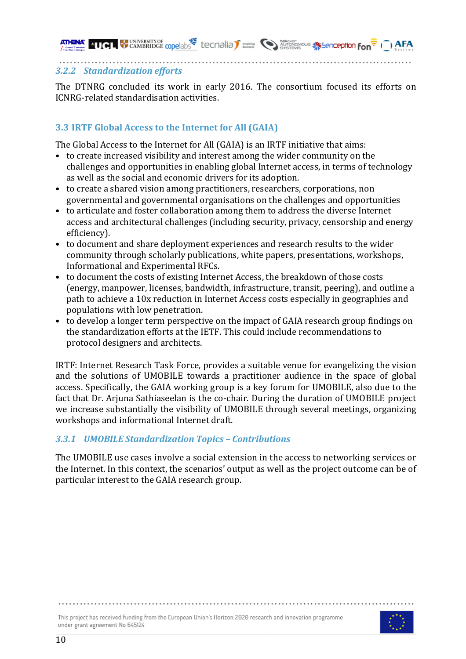**AFA CAMBRIDGE** copelabs<sup>2</sup> tecnalia) **busing** and concerned to the second of  $\frac{1}{2}$  ( ) AFA

#### *3.2.2 Standardization efforts*

The DTNRG concluded its work in early 2016. The consortium focused its efforts on ICNRG-related standardisation activities.

### **3.3 IRTF Global Access to the Internet for All (GAIA)**

The Global Access to the Internet for All (GAIA) is an IRTF initiative that aims:

- to create increased visibility and interest among the wider community on the challenges and opportunities in enabling global Internet access, in terms of technology as well as the social and economic drivers for its adoption.
- to create a shared vision among practitioners, researchers, corporations, non governmental and governmental organisations on the challenges and opportunities
- to articulate and foster collaboration among them to address the diverse Internet access and architectural challenges (including security, privacy, censorship and energy efficiency).
- to document and share deployment experiences and research results to the wider community through scholarly publications, white papers, presentations, workshops, Informational and Experimental RFCs.
- to document the costs of existing Internet Access, the breakdown of those costs (energy, manpower, licenses, bandwidth, infrastructure, transit, peering), and outline a path to achieve a 10x reduction in Internet Access costs especially in geographies and populations with low penetration.
- to develop a longer term perspective on the impact of GAIA research group findings on the standardization efforts at the IETF. This could include recommendations to protocol designers and architects.

IRTF: Internet Research Task Force, provides a suitable venue for evangelizing the vision and the solutions of UMOBILE towards a practitioner audience in the space of global access. Specifically, the GAIA working group is a key forum for UMOBILE, also due to the fact that Dr. Arjuna Sathiaseelan is the co-chair. During the duration of UMOBILE project we increase substantially the visibility of UMOBILE through several meetings, organizing workshops and informational Internet draft.

### *3.3.1 UMOBILE Standardization Topics – Contributions*

The UMOBILE use cases involve a social extension in the access to networking services or the Internet. In this context, the scenarios' output as well as the project outcome can be of particular interest to the GAIA research group.

This project has received funding from the European Union's Horizon 2020 research and innovation programme



under grant agreement No 645124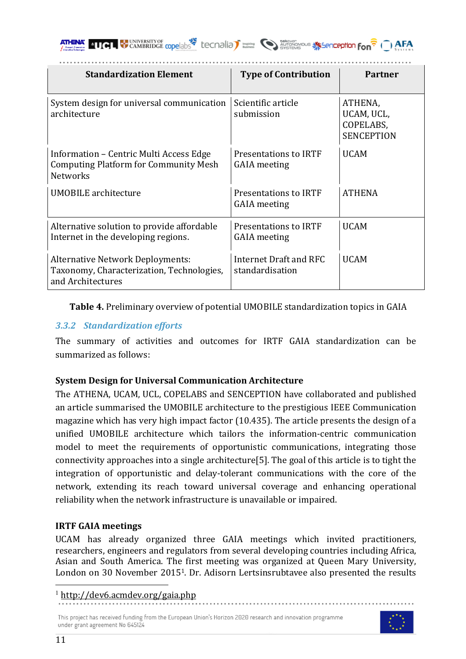

| <b>Standardization Element</b>                                                                             | <b>Type of Contribution</b>                  | <b>Partner</b>                                          |
|------------------------------------------------------------------------------------------------------------|----------------------------------------------|---------------------------------------------------------|
| System design for universal communication<br>architecture                                                  | Scientific article<br>submission             | ATHENA,<br>UCAM, UCL,<br>COPELABS,<br><b>SENCEPTION</b> |
| Information – Centric Multi Access Edge<br><b>Computing Platform for Community Mesh</b><br><b>Networks</b> | Presentations to IRTF<br><b>GAIA</b> meeting | <b>UCAM</b>                                             |
| <b>UMOBILE</b> architecture                                                                                | Presentations to IRTF<br><b>GAIA</b> meeting | <b>ATHENA</b>                                           |
| Alternative solution to provide affordable<br>Internet in the developing regions.                          | Presentations to IRTF<br><b>GAIA</b> meeting | <b>UCAM</b>                                             |
| <b>Alternative Network Deployments:</b><br>Taxonomy, Characterization, Technologies,<br>and Architectures  | Internet Draft and RFC<br>standardisation    | <b>UCAM</b>                                             |

**Table 4.** Preliminary overview of potential UMOBILE standardization topics in GAIA

# *3.3.2 Standardization efforts*

The summary of activities and outcomes for IRTF GAIA standardization can be summarized as follows:

# **System Design for Universal Communication Architecture**

The ATHENA, UCAM, UCL, COPELABS and SENCEPTION have collaborated and published an article summarised the UMOBILE architecture to the prestigious IEEE Communication magazine which has very high impact factor (10.435). The article presents the design of a unified UMOBILE architecture which tailors the information-centric communication model to meet the requirements of opportunistic communications, integrating those connectivity approaches into a single architecture[5]. The goal of this article is to tight the integration of opportunistic and delay-tolerant communications with the core of the network, extending its reach toward universal coverage and enhancing operational reliability when the network infrastructure is unavailable or impaired.

# **IRTF GAIA meetings**

UCAM has already organized three GAIA meetings which invited practitioners, researchers, engineers and regulators from several developing countries including Africa, Asian and South America. The first meeting was organized at Queen Mary University, London on 30 November 2015<sup>1</sup>. Dr. Adisorn Lertsinsrubtavee also presented the results



 <sup>1</sup> http://dev6.acmdev.org/gaia.php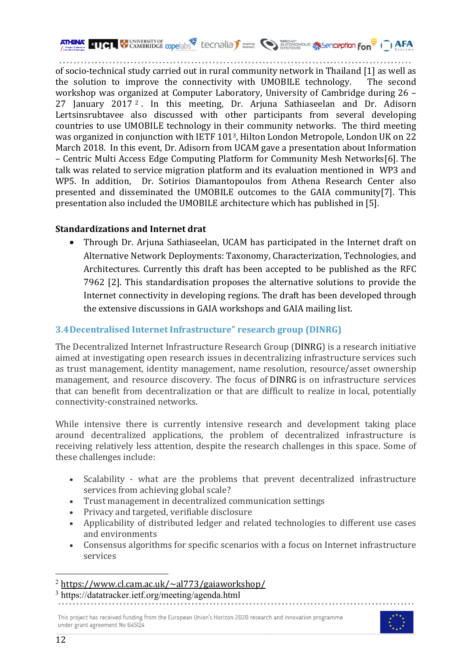**4101 WEAREN CAMBRIDGE cope abs<sup>32</sup>** tecnalia<sup>7</sup> **institute** Construction structure the fon<sup>2</sup> (1) AFA

of socio-technical study carried out in rural community network in Thailand [1] as well as the solution to improve the connectivity with UMOBILE technology. The second workshop was organized at Computer Laboratory, University of Cambridge during  $26 -$ 27 January  $2017<sup>2</sup>$ . In this meeting, Dr. Arjuna Sathiaseelan and Dr. Adisorn Lertsinsrubtavee also discussed with other participants from several developing countries to use UMOBILE technology in their community networks. The third meeting was organized in conjunction with IETF  $101<sup>3</sup>$ , Hilton London Metropole, London UK on 22 March 2018. In this event, Dr. Adisorn from UCAM gave a presentation about Information – Centric Multi Access Edge Computing Platform for Community Mesh Networks[6]. The talk was related to service migration platform and its evaluation mentioned in WP3 and WP5. In addition, Dr. Sotirios Diamantopoulos from Athena Research Center also presented and disseminated the UMOBILE outcomes to the GAIA community[7]. This presentation also included the UMOBILE architecture which has published in [5].

### **Standardizations and Internet drat**

• Through Dr. Arjuna Sathiaseelan, UCAM has participated in the Internet draft on Alternative Network Deployments: Taxonomy, Characterization, Technologies, and Architectures. Currently this draft has been accepted to be published as the RFC 7962 [2]. This standardisation proposes the alternative solutions to provide the Internet connectivity in developing regions. The draft has been developed through the extensive discussions in GAIA workshops and GAIA mailing list.

### **3.4Decentralised Internet Infrastructure" research group (DINRG)**

The Decentralized Internet Infrastructure Research Group (DINRG) is a research initiative aimed at investigating open research issues in decentralizing infrastructure services such as trust management, identity management, name resolution, resource/asset ownership management, and resource discovery. The focus of DINRG is on infrastructure services that can benefit from decentralization or that are difficult to realize in local, potentially connectivity-constrained networks.

While intensive there is currently intensive research and development taking place around decentralized applications, the problem of decentralized infrastructure is receiving relatively less attention, despite the research challenges in this space. Some of these challenges include:

- Scalability what are the problems that prevent decentralized infrastructure services from achieving global scale?
- Trust management in decentralized communication settings
- Privacy and targeted, verifiable disclosure
- Applicability of distributed ledger and related technologies to different use cases and environments
- Consensus algorithms for specific scenarios with a focus on Internet infrastructure services



 $^{2}$  https://www.cl.cam.ac.uk/~al773/gaiaworkshop/

<sup>3</sup> https://datatracker.ietf.org/meeting/agenda.html

This project has received funding from the European Union's Horizon 2020 research and innovation programme under grant agreement No 645124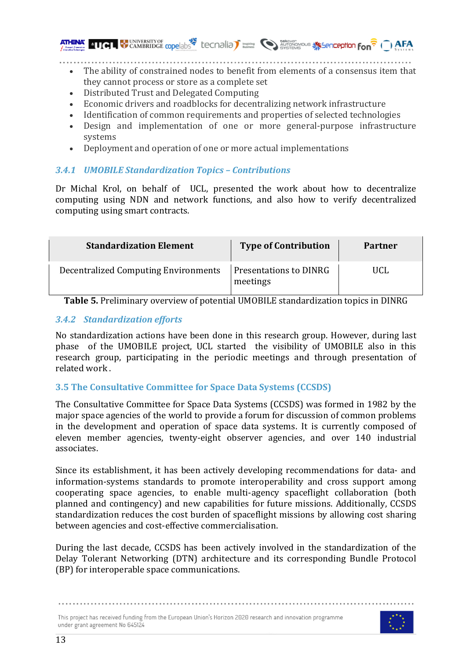- The ability of constrained nodes to benefit from elements of a consensus item that they cannot process or store as a complete set
- Distributed Trust and Delegated Computing
- Economic drivers and roadblocks for decentralizing network infrastructure
- Identification of common requirements and properties of selected technologies
- Design and implementation of one or more general-purpose infrastructure systems
- Deployment and operation of one or more actual implementations

### *3.4.1 UMOBILE Standardization Topics – Contributions*

Dr Michal Krol, on behalf of UCL, presented the work about how to decentralize computing using NDN and network functions, and also how to verify decentralized computing using smart contracts.

| <b>Standardization Element</b>              | <b>Type of Contribution</b>               | <b>Partner</b> |
|---------------------------------------------|-------------------------------------------|----------------|
| <b>Decentralized Computing Environments</b> | <b>Presentations to DINRG</b><br>meetings | UCL            |

**Table 5.** Preliminary overview of potential UMOBILE standardization topics in DINRG

### *3.4.2 Standardization efforts*

No standardization actions have been done in this research group. However, during last phase of the UMOBILE project, UCL started the visibility of UMOBILE also in this research group, participating in the periodic meetings and through presentation of related work.

# **3.5** The Consultative Committee for Space Data Systems (CCSDS)

The Consultative Committee for Space Data Systems (CCSDS) was formed in 1982 by the major space agencies of the world to provide a forum for discussion of common problems in the development and operation of space data systems. It is currently composed of eleven member agencies, twenty-eight observer agencies, and over 140 industrial associates.

Since its establishment, it has been actively developing recommendations for data- and information-systems standards to promote interoperability and cross support among cooperating space agencies, to enable multi-agency spaceflight collaboration (both planned and contingency) and new capabilities for future missions. Additionally, CCSDS standardization reduces the cost burden of spaceflight missions by allowing cost sharing between agencies and cost-effective commercialisation.

During the last decade, CCSDS has been actively involved in the standardization of the Delay Tolerant Networking (DTN) architecture and its corresponding Bundle Protocol (BP) for interoperable space communications.

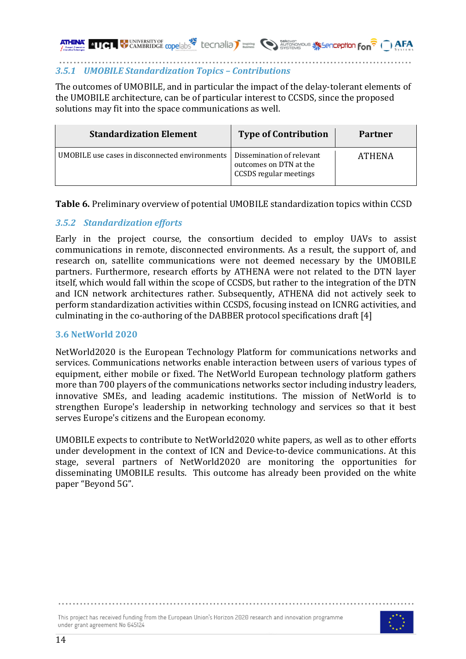# **4101 WEAREN CAMBRIDGE COpe abs<sup>32</sup>** tecnalia<sup>7</sup> **inside Conduct Conduct Conduct Conduct Conduct Conduct Conduct Conduct Conduct Conduct Conduct Conduct Conduct Conduct Conduct Conduct Conduct Conduct Conduct Conduct Condu**

#### *3.5.1 UMOBILE Standardization Topics – Contributions*

The outcomes of UMOBILE, and in particular the impact of the delay-tolerant elements of the UMOBILE architecture, can be of particular interest to CCSDS, since the proposed solutions may fit into the space communications as well.

| <b>Standardization Element</b>                 | <b>Type of Contribution</b>                                                          | Partner       |
|------------------------------------------------|--------------------------------------------------------------------------------------|---------------|
| UMOBILE use cases in disconnected environments | Dissemination of relevant<br>outcomes on DTN at the<br><b>CCSDS</b> regular meetings | <b>ATHENA</b> |

**Table 6.** Preliminary overview of potential UMOBILE standardization topics within CCSD

#### *3.5.2 Standardization efforts*

Early in the project course, the consortium decided to employ UAVs to assist communications in remote, disconnected environments. As a result, the support of, and research on, satellite communications were not deemed necessary by the UMOBILE partners. Furthermore, research efforts by ATHENA were not related to the DTN layer itself, which would fall within the scope of CCSDS, but rather to the integration of the DTN and ICN network architectures rather. Subsequently, ATHENA did not actively seek to perform standardization activities within CCSDS, focusing instead on ICNRG activities, and culminating in the co-authoring of the DABBER protocol specifications draft  $[4]$ 

#### **3.6 NetWorld 2020**

NetWorld2020 is the European Technology Platform for communications networks and services. Communications networks enable interaction between users of various types of equipment, either mobile or fixed. The NetWorld European technology platform gathers more than 700 players of the communications networks sector including industry leaders, innovative SMEs, and leading academic institutions. The mission of NetWorld is to strengthen Europe's leadership in networking technology and services so that it best serves Europe's citizens and the European economy.

UMOBILE expects to contribute to NetWorld2020 white papers, as well as to other efforts under development in the context of ICN and Device-to-device communications. At this stage, several partners of NetWorld2020 are monitoring the opportunities for disseminating UMOBILE results. This outcome has already been provided on the white paper "Beyond 5G".

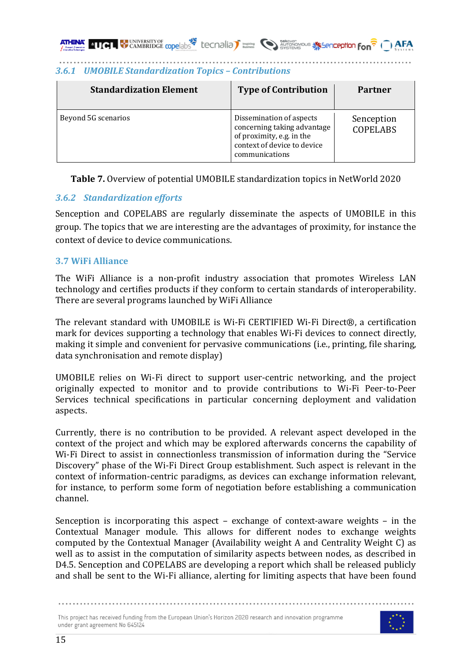| <b>Standardization Element</b> | <b>Type of Contribution</b>                                                                                                           | Partner                       |
|--------------------------------|---------------------------------------------------------------------------------------------------------------------------------------|-------------------------------|
| Beyond 5G scenarios            | Dissemination of aspects<br>concerning taking advantage<br>of proximity, e.g. in the<br>context of device to device<br>communications | Senception<br><b>COPELABS</b> |

#### *3.6.1 UMOBILE Standardization Topics – Contributions*

**Table 7.** Overview of potential UMOBILE standardization topics in NetWorld 2020

#### *3.6.2 Standardization efforts*

Senception and COPELABS are regularly disseminate the aspects of UMOBILE in this group. The topics that we are interesting are the advantages of proximity, for instance the context of device to device communications.

#### **3.7 WiFi Alliance**

The WiFi Alliance is a non-profit industry association that promotes Wireless LAN technology and certifies products if they conform to certain standards of interoperability. There are several programs launched by WiFi Alliance

The relevant standard with UMOBILE is Wi-Fi CERTIFIED Wi-Fi Direct®, a certification mark for devices supporting a technology that enables Wi-Fi devices to connect directly, making it simple and convenient for pervasive communications (i.e., printing, file sharing, data synchronisation and remote display)

UMOBILE relies on Wi-Fi direct to support user-centric networking, and the project originally expected to monitor and to provide contributions to Wi-Fi Peer-to-Peer Services technical specifications in particular concerning deployment and validation aspects. 

Currently, there is no contribution to be provided. A relevant aspect developed in the context of the project and which may be explored afterwards concerns the capability of Wi-Fi Direct to assist in connectionless transmission of information during the "Service Discovery" phase of the Wi-Fi Direct Group establishment. Such aspect is relevant in the context of information-centric paradigms, as devices can exchange information relevant, for instance, to perform some form of negotiation before establishing a communication channel.

Senception is incorporating this aspect – exchange of context-aware weights – in the Contextual Manager module. This allows for different nodes to exchange weights computed by the Contextual Manager (Availability weight A and Centrality Weight C) as well as to assist in the computation of similarity aspects between nodes, as described in D4.5. Senception and COPELABS are developing a report which shall be released publicly and shall be sent to the Wi-Fi alliance, alerting for limiting aspects that have been found

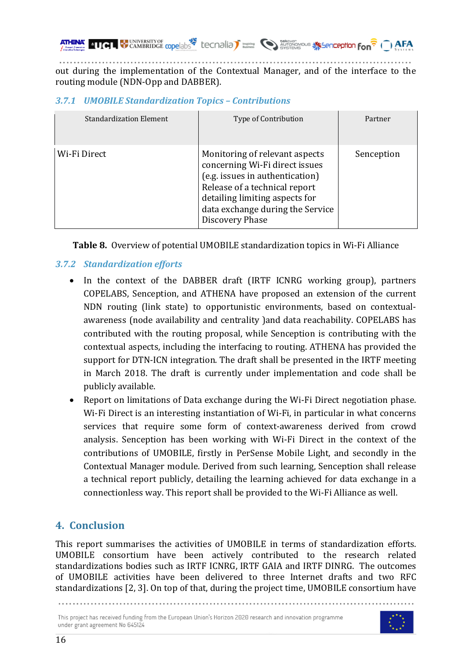out during the implementation of the Contextual Manager, and of the interface to the routing module (NDN-Opp and DABBER).

### *3.7.1 UMOBILE Standardization Topics – Contributions*

| <b>Standardization Element</b> | Type of Contribution                                                                                                                                                                                                          | Partner    |
|--------------------------------|-------------------------------------------------------------------------------------------------------------------------------------------------------------------------------------------------------------------------------|------------|
| Wi-Fi Direct                   | Monitoring of relevant aspects<br>concerning Wi-Fi direct issues<br>(e.g. issues in authentication)<br>Release of a technical report<br>detailing limiting aspects for<br>data exchange during the Service<br>Discovery Phase | Senception |

**Table 8.** Overview of potential UMOBILE standardization topics in Wi-Fi Alliance

# *3.7.2 Standardization efforts*

- In the context of the DABBER draft (IRTF ICNRG working group), partners COPELABS, Senception, and ATHENA have proposed an extension of the current NDN routing (link state) to opportunistic environments, based on contextualawareness (node availability and centrality )and data reachability. COPELABS has contributed with the routing proposal, while Senception is contributing with the contextual aspects, including the interfacing to routing. ATHENA has provided the support for DTN-ICN integration. The draft shall be presented in the IRTF meeting in March 2018. The draft is currently under implementation and code shall be publicly available.
- Report on limitations of Data exchange during the Wi-Fi Direct negotiation phase. Wi-Fi Direct is an interesting instantiation of Wi-Fi, in particular in what concerns services that require some form of context-awareness derived from crowd analysis. Senception has been working with Wi-Fi Direct in the context of the contributions of UMOBILE, firstly in PerSense Mobile Light, and secondly in the Contextual Manager module. Derived from such learning, Senception shall release a technical report publicly, detailing the learning achieved for data exchange in a connectionless way. This report shall be provided to the Wi-Fi Alliance as well.

# **4. Conclusion**

This report summarises the activities of UMOBILE in terms of standardization efforts. UMOBILE consortium have been actively contributed to the research related standardizations bodies such as IRTF ICNRG, IRTF GAIA and IRTF DINRG. The outcomes of UMOBILE activities have been delivered to three Internet drafts and two RFC standardizations [2, 3]. On top of that, during the project time, UMOBILE consortium have



This project has received funding from the European Union's Horizon 2020 research and innovation programme under grant agreement No 645124